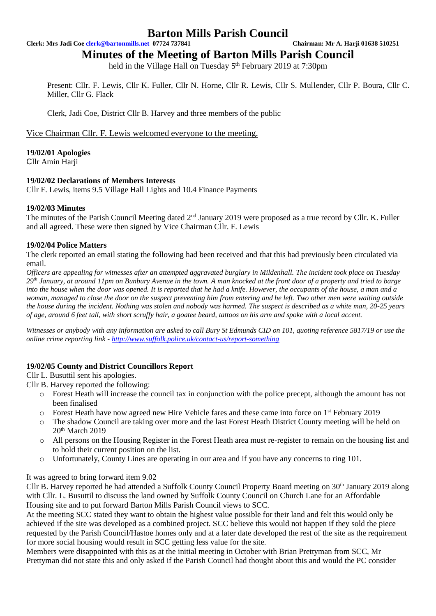**Clerk: Mrs Jadi Coe [clerk@bartonmills.net](mailto:clerk@bartonmills.net) 07724 737841 Chairman: Mr A. Harji 01638 510251**

**Minutes of the Meeting of Barton Mills Parish Council**

held in the Village Hall on Tuesday 5<sup>th</sup> February 2019 at 7:30pm

Present: Cllr. F. Lewis, Cllr K. Fuller, Cllr N. Horne, Cllr R. Lewis, Cllr S. Mullender, Cllr P. Boura, Cllr C. Miller, Cllr G. Flack

Clerk, Jadi Coe, District Cllr B. Harvey and three members of the public

Vice Chairman Cllr. F. Lewis welcomed everyone to the meeting.

## **19/02/01 Apologies**

Cllr Amin Harji

# **19/02/02 Declarations of Members Interests**

Cllr F. Lewis, items 9.5 Village Hall Lights and 10.4 Finance Payments

## **19/02/03 Minutes**

The minutes of the Parish Council Meeting dated 2<sup>nd</sup> January 2019 were proposed as a true record by Cllr. K. Fuller and all agreed. These were then signed by Vice Chairman Cllr. F. Lewis

## **19/02/04 Police Matters**

The clerk reported an email stating the following had been received and that this had previously been circulated via email.

*Officers are appealing for witnesses after an attempted aggravated burglary in Mildenhall. The incident took place on Tuesday 29th January, at around 11pm on Bunbury Avenue in the town. A man knocked at the front door of a property and tried to barge into the house when the door was opened. It is reported that he had a knife. However, the occupants of the house, a man and a woman, managed to close the door on the suspect preventing him from entering and he left. Two other men were waiting outside the house during the incident. Nothing was stolen and nobody was harmed. The suspect is described as a white man, 20-25 years of age, around 6 feet tall, with short scruffy hair, a goatee beard, tattoos on his arm and spoke with a local accent.* 

*Witnesses or anybody with any information are asked to call Bury St Edmunds CID on 101, quoting reference 5817/19 or use the online crime reporting link - <http://www.suffolk.police.uk/contact-us/report-something>*

# **19/02/05 County and District Councillors Report**

Cllr L. Busuttil sent his apologies.

Cllr B. Harvey reported the following:

- o Forest Heath will increase the council tax in conjunction with the police precept, although the amount has not been finalised
	- o Forest Heath have now agreed new Hire Vehicle fares and these came into force on 1<sup>st</sup> February 2019
- o The shadow Council are taking over more and the last Forest Heath District County meeting will be held on 20<sup>th</sup> March 2019
- o All persons on the Housing Register in the Forest Heath area must re-register to remain on the housing list and to hold their current position on the list.
- o Unfortunately, County Lines are operating in our area and if you have any concerns to ring 101.

# It was agreed to bring forward item 9.02

Cllr B. Harvey reported he had attended a Suffolk County Council Property Board meeting on 30<sup>th</sup> January 2019 along with Cllr. L. Busuttil to discuss the land owned by Suffolk County Council on Church Lane for an Affordable Housing site and to put forward Barton Mills Parish Council views to SCC.

At the meeting SCC stated they want to obtain the highest value possible for their land and felt this would only be achieved if the site was developed as a combined project. SCC believe this would not happen if they sold the piece requested by the Parish Council/Hastoe homes only and at a later date developed the rest of the site as the requirement for more social housing would result in SCC getting less value for the site.

Members were disappointed with this as at the initial meeting in October with Brian Prettyman from SCC, Mr Prettyman did not state this and only asked if the Parish Council had thought about this and would the PC consider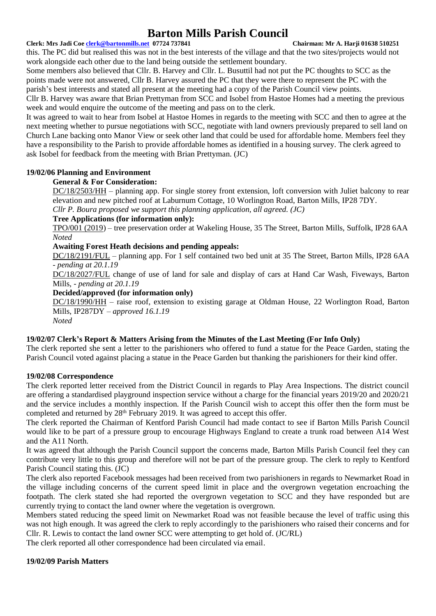### **Clerk: Mrs Jadi Coe [clerk@bartonmills.net](mailto:clerk@bartonmills.net) 07724 737841 Chairman: Mr A. Harji 01638 510251**

this. The PC did but realised this was not in the best interests of the village and that the two sites/projects would not work alongside each other due to the land being outside the settlement boundary.

Some members also believed that Cllr. B. Harvey and Cllr. L. Busuttil had not put the PC thoughts to SCC as the points made were not answered, Cllr B. Harvey assured the PC that they were there to represent the PC with the parish's best interests and stated all present at the meeting had a copy of the Parish Council view points.

Cllr B. Harvey was aware that Brian Prettyman from SCC and Isobel from Hastoe Homes had a meeting the previous week and would enquire the outcome of the meeting and pass on to the clerk.

It was agreed to wait to hear from Isobel at Hastoe Homes in regards to the meeting with SCC and then to agree at the next meeting whether to pursue negotiations with SCC, negotiate with land owners previously prepared to sell land on Church Lane backing onto Manor View or seek other land that could be used for affordable home. Members feel they have a responsibility to the Parish to provide affordable homes as identified in a housing survey. The clerk agreed to ask Isobel for feedback from the meeting with Brian Prettyman. (JC)

## **19/02/06 Planning and Environment**

# **General & For Consideration:**

DC/18/2503/HH – planning app. For single storey front extension, loft conversion with Juliet balcony to rear elevation and new pitched roof at Laburnum Cottage, 10 Worlington Road, Barton Mills, IP28 7DY.

*Cllr P. Boura proposed we support this planning application, all agreed. (JC)*

# **Tree Applications (for information only):**

TPO/001 (2019) – tree preservation order at Wakeling House, 35 The Street, Barton Mills, Suffolk, IP28 6AA *Noted*

## **Awaiting Forest Heath decisions and pending appeals:**

DC/18/2191/FUL – planning app. For 1 self contained two bed unit at 35 The Street, Barton Mills, IP28 6AA *- pending at 20.1.19*

DC/18/2027/FUL change of use of land for sale and display of cars at Hand Car Wash, Fiveways, Barton Mills, - *pending at 20.1.19*

### **Decided/approved (for information only)**

DC/18/1990/HH – raise roof, extension to existing garage at Oldman House, 22 Worlington Road, Barton Mills, IP287DY – *approved 16.1.19*

*Noted*

# **19/02/07 Clerk's Report & Matters Arising from the Minutes of the Last Meeting (For Info Only)**

The clerk reported she sent a letter to the parishioners who offered to fund a statue for the Peace Garden, stating the Parish Council voted against placing a statue in the Peace Garden but thanking the parishioners for their kind offer.

### **19/02/08 Correspondence**

The clerk reported letter received from the District Council in regards to Play Area Inspections. The district council are offering a standardised playground inspection service without a charge for the financial years 2019/20 and 2020/21 and the service includes a monthly inspection. If the Parish Council wish to accept this offer then the form must be completed and returned by 28<sup>th</sup> February 2019. It was agreed to accept this offer.

The clerk reported the Chairman of Kentford Parish Council had made contact to see if Barton Mills Parish Council would like to be part of a pressure group to encourage Highways England to create a trunk road between A14 West and the A11 North.

It was agreed that although the Parish Council support the concerns made, Barton Mills Parish Council feel they can contribute very little to this group and therefore will not be part of the pressure group. The clerk to reply to Kentford Parish Council stating this. (JC)

The clerk also reported Facebook messages had been received from two parishioners in regards to Newmarket Road in the village including concerns of the current speed limit in place and the overgrown vegetation encroaching the footpath. The clerk stated she had reported the overgrown vegetation to SCC and they have responded but are currently trying to contact the land owner where the vegetation is overgrown.

Members stated reducing the speed limit on Newmarket Road was not feasible because the level of traffic using this was not high enough. It was agreed the clerk to reply accordingly to the parishioners who raised their concerns and for Cllr. R. Lewis to contact the land owner SCC were attempting to get hold of. (JC/RL)

The clerk reported all other correspondence had been circulated via email.

### **19/02/09 Parish Matters**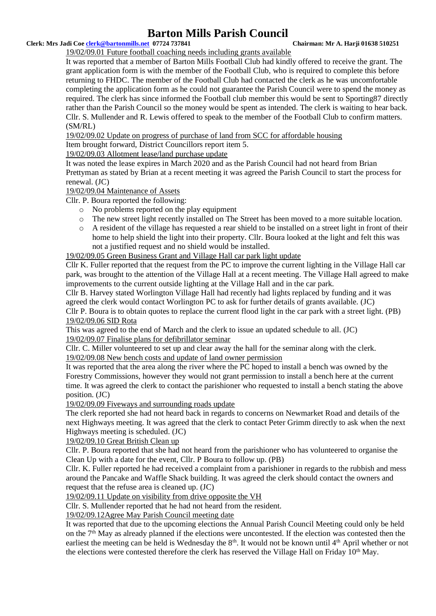## **Clerk: Mrs Jadi Coe [clerk@bartonmills.net](mailto:clerk@bartonmills.net) 07724 737841 Chairman: Mr A. Harji 01638 510251**

19/02/09.01 Future football coaching needs including grants available

It was reported that a member of Barton Mills Football Club had kindly offered to receive the grant. The grant application form is with the member of the Football Club, who is required to complete this before returning to FHDC. The member of the Football Club had contacted the clerk as he was uncomfortable completing the application form as he could not guarantee the Parish Council were to spend the money as required. The clerk has since informed the Football club member this would be sent to Sporting87 directly rather than the Parish Council so the money would be spent as intended. The clerk is waiting to hear back. Cllr. S. Mullender and R. Lewis offered to speak to the member of the Football Club to confirm matters. (SM/RL)

19/02/09.02 Update on progress of purchase of land from SCC for affordable housing

Item brought forward, District Councillors report item 5.

19/02/09.03 Allotment lease/land purchase update

It was noted the lease expires in March 2020 and as the Parish Council had not heard from Brian Prettyman as stated by Brian at a recent meeting it was agreed the Parish Council to start the process for renewal. (JC)

19/02/09.04 Maintenance of Assets

Cllr. P. Boura reported the following:

- o No problems reported on the play equipment
- o The new street light recently installed on The Street has been moved to a more suitable location.
- o A resident of the village has requested a rear shield to be installed on a street light in front of their home to help shield the light into their property. Cllr. Boura looked at the light and felt this was not a justified request and no shield would be installed.

19/02/09.05 Green Business Grant and Village Hall car park light update

Cllr K. Fuller reported that the request from the PC to improve the current lighting in the Village Hall car park, was brought to the attention of the Village Hall at a recent meeting. The Village Hall agreed to make improvements to the current outside lighting at the Village Hall and in the car park.

Cllr B. Harvey stated Worlington Village Hall had recently had lights replaced by funding and it was agreed the clerk would contact Worlington PC to ask for further details of grants available. (JC)

Cllr P. Boura is to obtain quotes to replace the current flood light in the car park with a street light. (PB) 19/02/09.06 SID Rota

This was agreed to the end of March and the clerk to issue an updated schedule to all. (JC) 19/02/09.07 Finalise plans for defibrillator seminar

Cllr. C. Miller volunteered to set up and clear away the hall for the seminar along with the clerk. 19/02/09.08 New bench costs and update of land owner permission

It was reported that the area along the river where the PC hoped to install a bench was owned by the Forestry Commissions, however they would not grant permission to install a bench here at the current time. It was agreed the clerk to contact the parishioner who requested to install a bench stating the above position. (JC)

19/02/09.09 Fiveways and surrounding roads update

The clerk reported she had not heard back in regards to concerns on Newmarket Road and details of the next Highways meeting. It was agreed that the clerk to contact Peter Grimm directly to ask when the next Highways meeting is scheduled. (JC)

19/02/09.10 Great British Clean up

Cllr. P. Boura reported that she had not heard from the parishioner who has volunteered to organise the Clean Up with a date for the event, Cllr. P Boura to follow up. (PB)

Cllr. K. Fuller reported he had received a complaint from a parishioner in regards to the rubbish and mess around the Pancake and Waffle Shack building. It was agreed the clerk should contact the owners and request that the refuse area is cleaned up. (JC)

19/02/09.11 Update on visibility from drive opposite the VH

Cllr. S. Mullender reported that he had not heard from the resident.

19/02/09.12Agree May Parish Council meeting date

It was reported that due to the upcoming elections the Annual Parish Council Meeting could only be held on the  $7<sup>th</sup>$  May as already planned if the elections were uncontested. If the election was contested then the earliest the meeting can be held is Wednesday the 8<sup>th</sup>. It would not be known until 4<sup>th</sup> April whether or not the elections were contested therefore the clerk has reserved the Village Hall on Friday  $10<sup>th</sup>$  May.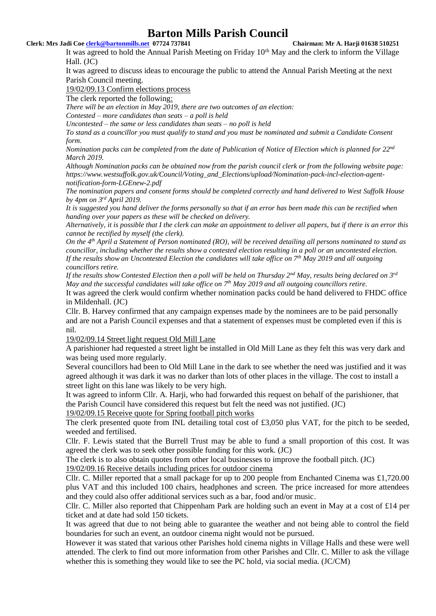#### **Clerk: Mrs Jadi Coe [clerk@bartonmills.net](mailto:clerk@bartonmills.net) 07724 737841 Chairman: Mr A. Harji 01638 510251**

It was agreed to hold the Annual Parish Meeting on Friday 10<sup>th</sup> May and the clerk to inform the Village Hall. (JC)

It was agreed to discuss ideas to encourage the public to attend the Annual Parish Meeting at the next Parish Council meeting.

19/02/09.13 Confirm elections process

The clerk reported the following:

*There will be an election in May 2019, there are two outcomes of an election:*

*Contested – more candidates than seats – a poll is held*

*Uncontested – the same or less candidates than seats – no poll is held*

*To stand as a councillor you must qualify to stand and you must be nominated and submit a Candidate Consent form.*

*Nomination packs can be completed from the date of Publication of Notice of Election which is planned for 22nd March 2019.* 

*Although Nomination packs can be obtained now from the parish council clerk or from the following website page: https://www.westsuffolk.gov.uk/Council/Voting\_and\_Elections/upload/Nomination-pack-incl-election-agentnotification-form-LGEnew-2.pdf*

*The nomination papers and consent forms should be completed correctly and hand delivered to West Suffolk House by 4pm on 3rd April 2019.*

*It is suggested you hand deliver the forms personally so that if an error has been made this can be rectified when handing over your papers as these will be checked on delivery.*

*Alternatively, it is possible that I the clerk can make an appointment to deliver all papers, but if there is an error this cannot be rectified by myself (the clerk).*

*On the 4th April a Statement of Person nominated (RO), will be received detailing all persons nominated to stand as councillor, including whether the results show a contested election resulting in a poll or an uncontested election. If the results show an Uncontested Election the candidates will take office on 7th May 2019 and all outgoing councillors retire.*

*If the results show Contested Election then a poll will be held on Thursday 2nd May, results being declared on 3rd May and the successful candidates will take office on 7th May 2019 and all outgoing councillors retire.*

It was agreed the clerk would confirm whether nomination packs could be hand delivered to FHDC office in Mildenhall. (JC)

Cllr. B. Harvey confirmed that any campaign expenses made by the nominees are to be paid personally and are not a Parish Council expenses and that a statement of expenses must be completed even if this is nil.

19/02/09.14 Street light request Old Mill Lane

A parishioner had requested a street light be installed in Old Mill Lane as they felt this was very dark and was being used more regularly.

Several councillors had been to Old Mill Lane in the dark to see whether the need was justified and it was agreed although it was dark it was no darker than lots of other places in the village. The cost to install a street light on this lane was likely to be very high.

It was agreed to inform Cllr. A. Harji, who had forwarded this request on behalf of the parishioner, that the Parish Council have considered this request but felt the need was not justified. (JC)

19/02/09.15 Receive quote for Spring football pitch works

The clerk presented quote from INL detailing total cost of £3,050 plus VAT, for the pitch to be seeded, weeded and fertilised.

Cllr. F. Lewis stated that the Burrell Trust may be able to fund a small proportion of this cost. It was agreed the clerk was to seek other possible funding for this work. (JC)

The clerk is to also obtain quotes from other local businesses to improve the football pitch. (JC)

19/02/09.16 Receive details including prices for outdoor cinema

Cllr. C. Miller reported that a small package for up to 200 people from Enchanted Cinema was £1,720.00 plus VAT and this included 100 chairs, headphones and screen. The price increased for more attendees and they could also offer additional services such as a bar, food and/or music.

Cllr. C. Miller also reported that Chippenham Park are holding such an event in May at a cost of £14 per ticket and at date had sold 150 tickets.

It was agreed that due to not being able to guarantee the weather and not being able to control the field boundaries for such an event, an outdoor cinema night would not be pursued.

However it was stated that various other Parishes hold cinema nights in Village Halls and these were well attended. The clerk to find out more information from other Parishes and Cllr. C. Miller to ask the village whether this is something they would like to see the PC hold, via social media. (JC/CM)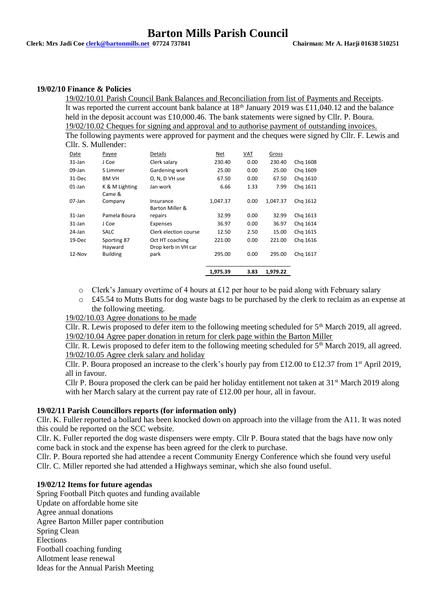#### **19/02/10 Finance & Policies**

19/02/10.01 Parish Council Bank Balances and Reconciliation from list of Payments and Receipts. It was reported the current account bank balance at 18<sup>th</sup> January 2019 was £11,040.12 and the balance held in the deposit account was £10,000.46. The bank statements were signed by Cllr. P. Boura. 19/02/10.02 Cheques for signing and approval and to authorise payment of outstanding invoices.

The following payments were approved for payment and the cheques were signed by Cllr. F. Lewis and Cllr. S. Mullender:

|           |                            |                              | 1.975.39 | 3.83 | 1.979.22 |          |
|-----------|----------------------------|------------------------------|----------|------|----------|----------|
|           |                            |                              |          |      |          |          |
| 12-Nov    | Hayward<br><b>Building</b> | Drop kerb in VH car<br>park  | 295.00   | 0.00 | 295.00   | Chg 1617 |
| 19-Dec    | Sporting 87                | Oct HT coaching              | 221.00   | 0.00 | 221.00   | Chg 1616 |
| 24-Jan    | <b>SALC</b>                | Clerk election course        | 12.50    | 2.50 | 15.00    | Chg 1615 |
| 31-Jan    | J Coe                      | Expenses                     | 36.97    | 0.00 | 36.97    | Chg 1614 |
| 31-Jan    | Pamela Boura               | repairs                      | 32.99    | 0.00 | 32.99    | Chg 1613 |
| 07-Jan    | Company                    | Insurance<br>Barton Miller & | 1,047.37 | 0.00 | 1.047.37 | Chg 1612 |
| $01$ -Jan | K & M Lighting<br>Came &   | Jan work                     | 6.66     | 1.33 | 7.99     | Chg 1611 |
| 31-Dec    | <b>BM VH</b>               | O, N, D VH use               | 67.50    | 0.00 | 67.50    | Chg 1610 |
| 09-Jan    | S Limmer                   | Gardening work               | 25.00    | 0.00 | 25.00    | Chg 1609 |
| $31$ -Jan | J Coe                      | Clerk salary                 | 230.40   | 0.00 | 230.40   | Chg 1608 |
| Date      | Payee                      | Details                      | Net      | VAT  | Gross    |          |

- o Clerk's January overtime of 4 hours at £12 per hour to be paid along with February salary
- $\circ$  £45.54 to Mutts Butts for dog waste bags to be purchased by the clerk to reclaim as an expense at the following meeting.

19/02/10.03 Agree donations to be made

Cllr. R. Lewis proposed to defer item to the following meeting scheduled for  $5<sup>th</sup>$  March 2019, all agreed. 19/02/10.04 Agree paper donation in return for clerk page within the Barton Miller

Cllr. R. Lewis proposed to defer item to the following meeting scheduled for  $5<sup>th</sup>$  March 2019, all agreed. 19/02/10.05 Agree clerk salary and holiday

Cllr. P. Boura proposed an increase to the clerk's hourly pay from £12.00 to £12.37 from 1st April 2019, all in favour.

Cllr P. Boura proposed the clerk can be paid her holiday entitlement not taken at  $31<sup>st</sup>$  March 2019 along with her March salary at the current pay rate of £12.00 per hour, all in favour.

### **19/02/11 Parish Councillors reports (for information only)**

Cllr. K. Fuller reported a bollard has been knocked down on approach into the village from the A11. It was noted this could be reported on the SCC website.

Cllr. K. Fuller reported the dog waste dispensers were empty. Cllr P. Boura stated that the bags have now only come back in stock and the expense has been agreed for the clerk to purchase.

Cllr. P. Boura reported she had attendee a recent Community Energy Conference which she found very useful Cllr. C. Miller reported she had attended a Highways seminar, which she also found useful.

#### **19/02/12 Items for future agendas**

 Spring Football Pitch quotes and funding available Update on affordable home site Agree annual donations Agree Barton Miller paper contribution Spring Clean Elections Football coaching funding Allotment lease renewal Ideas for the Annual Parish Meeting